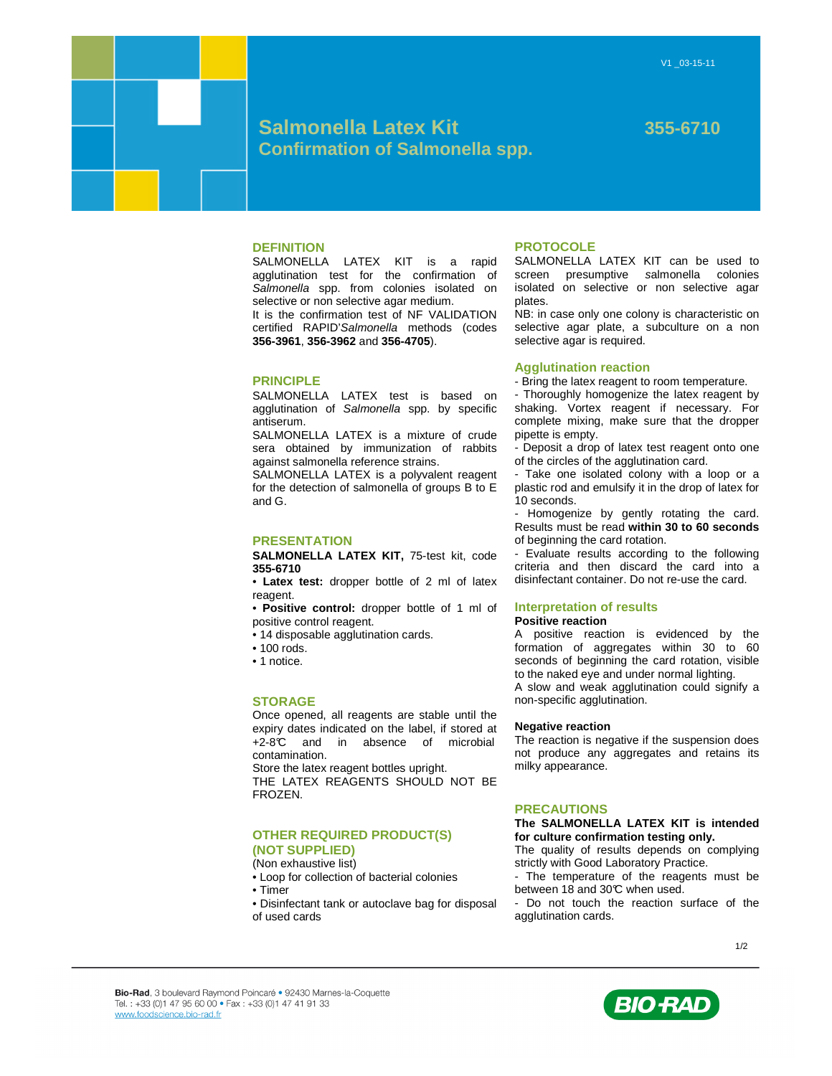# **Salmonella Latex Kit 355-6710 Confirmation of Salmonella spp.**

### **DEFINITION**

SALMONELLA LATEX KIT is a rapid agglutination test for the confirmation of Salmonella spp. from colonies isolated on selective or non selective agar medium. It is the confirmation test of NF VALIDATION certified RAPID'Salmonella methods (codes **356-3961**, **356-3962** and **356-4705**).

### **PRINCIPLE**

SALMONELLA LATEX test is based on agglutination of Salmonella spp. by specific antiserum.

SALMONELLA LATEX is a mixture of crude sera obtained by immunization of rabbits against salmonella reference strains.

SALMONELLA LATEX is a polyvalent reagent for the detection of salmonella of groups B to E and G.

### **PRESENTATION**

**SALMONELLA LATEX KIT,** 75-test kit, code **355-6710**

• **Latex test:** dropper bottle of 2 ml of latex reagent.

• **Positive control:** dropper bottle of 1 ml of positive control reagent.

- 14 disposable agglutination cards.
- 100 rods.
- 1 notice.

### **STORAGE**

Once opened, all reagents are stable until the expiry dates indicated on the label, if stored at +2-8°C and in absence of microbial contamination.

Store the latex reagent bottles upright. THE LATEX REAGENTS SHOULD NOT BE FROZEN.

### **OTHER REQUIRED PRODUCT(S) (NOT SUPPLIED)**

(Non exhaustive list)

- Loop for collection of bacterial colonies
- Timer
- Disinfectant tank or autoclave bag for disposal of used cards

### **PROTOCOLE**

SALMONELLA LATEX KIT can be used to screen presumptive salmonella colonies isolated on selective or non selective agar plates.

NB: in case only one colony is characteristic on selective agar plate, a subculture on a non selective agar is required.

### **Agglutination reaction**

- Bring the latex reagent to room temperature.

- Thoroughly homogenize the latex reagent by shaking. Vortex reagent if necessary. For complete mixing, make sure that the dropper pipette is empty.

- Deposit a drop of latex test reagent onto one of the circles of the agglutination card.

- Take one isolated colony with a loop or a plastic rod and emulsify it in the drop of latex for 10 seconds.

- Homogenize by gently rotating the card. Results must be read **within 30 to 60 seconds**  of beginning the card rotation.

- Evaluate results according to the following criteria and then discard the card into a disinfectant container. Do not re-use the card.

## **Interpretation of results**

**Positive reaction** 

A positive reaction is evidenced by the formation of aggregates within 30 to 60 seconds of beginning the card rotation, visible to the naked eye and under normal lighting. A slow and weak agglutination could signify a non-specific agglutination.

### **Negative reaction**

The reaction is negative if the suspension does not produce any aggregates and retains its milky appearance.

### **PRECAUTIONS**

### **The SALMONELLA LATEX KIT is intended for culture confirmation testing only.**

The quality of results depends on complying strictly with Good Laboratory Practice.

The temperature of the reagents must be between 18 and 30°C when used.

Do not touch the reaction surface of the agglutination cards.

1/2